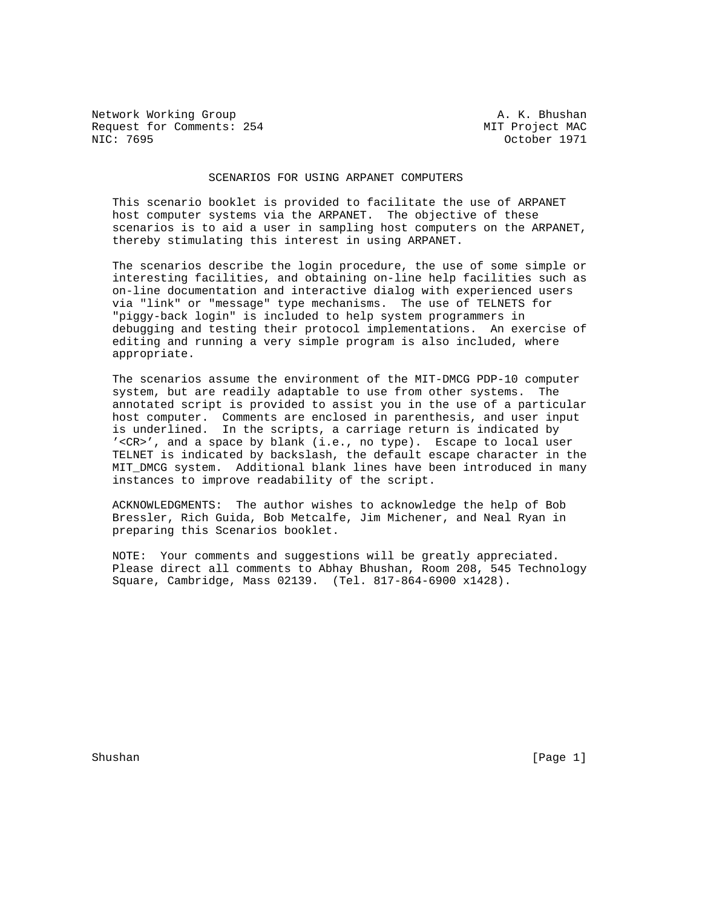Network Working Group **A. K. Bhushan** Request for Comments: 254 MIT Project MAC<br>NIC: 7695 0ctober 1971

October 1971

## SCENARIOS FOR USING ARPANET COMPUTERS

 This scenario booklet is provided to facilitate the use of ARPANET host computer systems via the ARPANET. The objective of these scenarios is to aid a user in sampling host computers on the ARPANET, thereby stimulating this interest in using ARPANET.

 The scenarios describe the login procedure, the use of some simple or interesting facilities, and obtaining on-line help facilities such as on-line documentation and interactive dialog with experienced users via "link" or "message" type mechanisms. The use of TELNETS for "piggy-back login" is included to help system programmers in debugging and testing their protocol implementations. An exercise of editing and running a very simple program is also included, where appropriate.

 The scenarios assume the environment of the MIT-DMCG PDP-10 computer system, but are readily adaptable to use from other systems. The annotated script is provided to assist you in the use of a particular host computer. Comments are enclosed in parenthesis, and user input is underlined. In the scripts, a carriage return is indicated by '<CR>', and a space by blank (i.e., no type). Escape to local user TELNET is indicated by backslash, the default escape character in the MIT\_DMCG system. Additional blank lines have been introduced in many instances to improve readability of the script.

 ACKNOWLEDGMENTS: The author wishes to acknowledge the help of Bob Bressler, Rich Guida, Bob Metcalfe, Jim Michener, and Neal Ryan in preparing this Scenarios booklet.

 NOTE: Your comments and suggestions will be greatly appreciated. Please direct all comments to Abhay Bhushan, Room 208, 545 Technology Square, Cambridge, Mass 02139. (Tel. 817-864-6900 x1428).

Shushan [Page 1]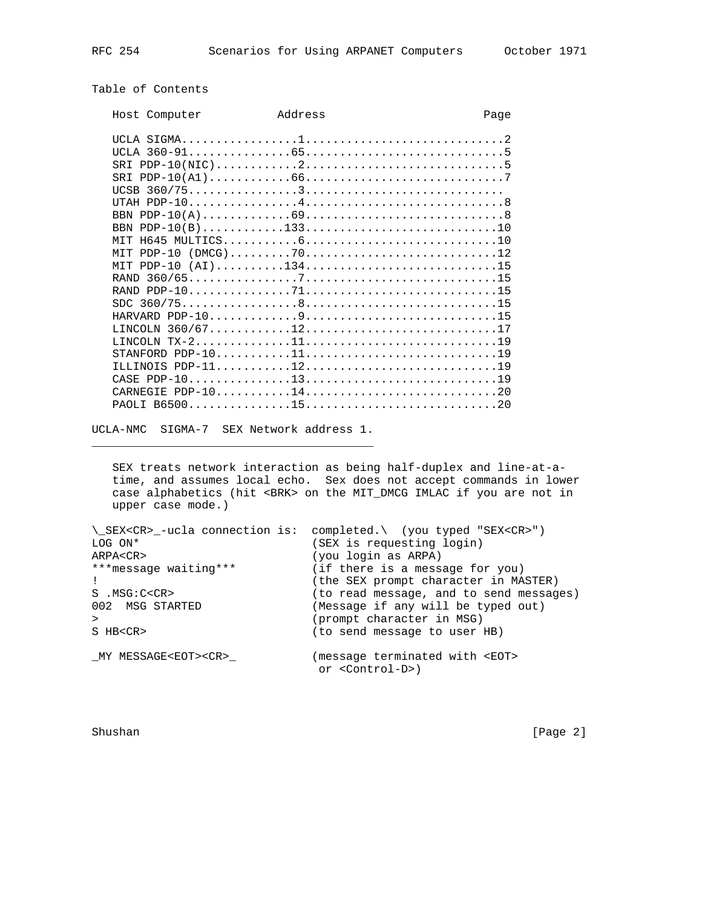## Table of Contents

| Host Computer | Address | Page         |
|---------------|---------|--------------|
|               |         |              |
|               |         |              |
|               |         |              |
| SR T          |         |              |
| <b>UCSB</b>   |         |              |
| <b>TITAH</b>  |         | $PDP-1048$   |
| <b>BBN</b>    |         |              |
| <b>BBN</b>    |         |              |
| H645          |         |              |
| $PDP-10$      |         |              |
| PDP-10        |         |              |
| <b>RAND</b>   |         |              |
| <b>RAND</b>   |         | $PDP-107115$ |
| SDC.          |         |              |
| HARVARD       |         |              |
| LINCOLN       |         |              |
| L.TNCOLN      |         |              |
|               |         | $TX-21119$   |
| STANFORD      |         | $PDP-101119$ |
|               |         |              |
| CASE PDP-10   |         |              |
| CARNEGIE      |         | $PDP-101420$ |
| PAOLT.        |         |              |

UCLA-NMC SIGMA-7 SEX Network address 1. \_\_\_\_\_\_\_\_\_\_\_\_\_\_\_\_\_\_\_\_\_\_\_\_\_\_\_\_\_\_\_\_\_\_\_\_\_\_\_\_\_

 SEX treats network interaction as being half-duplex and line-at-a time, and assumes local echo. Sex does not accept commands in lower case alphabetics (hit <BRK> on the MIT\_DMCG IMLAC if you are not in upper case mode.)

|                                 | \ SEX <cr> -ucla connection is: completed.\ (you typed "SEX<cr>")</cr></cr> |
|---------------------------------|-----------------------------------------------------------------------------|
| LOG ON*                         | (SEX is requesting login)                                                   |
| ARPA <cr></cr>                  | (you login as ARPA)                                                         |
| ***message waiting***           | (if there is a message for you)                                             |
|                                 | (the SEX prompt character in MASTER)                                        |
| $S$ . MSG: $C < CR$             | (to read message, and to send messages)                                     |
| 002 MSG STARTED                 | (Message if any will be typed out)                                          |
|                                 | (prompt character in MSG)                                                   |
| S HB <cr></cr>                  | (to send message to user HB)                                                |
|                                 |                                                                             |
| MY MESSAGE <eot><cr></cr></eot> | (message terminated with <eot></eot>                                        |
|                                 | or <control-d>)</control-d>                                                 |
|                                 |                                                                             |

Shushan [Page 2]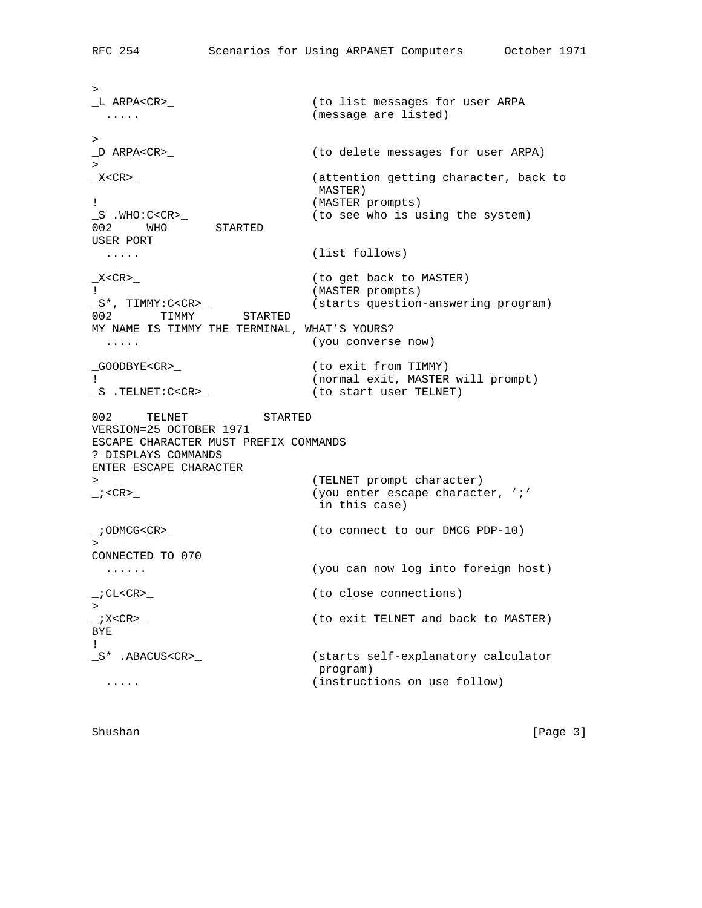$>$ \_L ARPA<CR>\_ (to list messages for user ARPA ..... (message are listed) ><br>\_D ARPA<CR>\_ (to delete messages for user ARPA)  $\geq$ \_X<CR>\_ (attention getting character, back to MASTER) ! (MASTER prompts) \_S .WHO:C<CR>\_ (to see who is using the system) 002 WHO STARTED USER PORT ..... (list follows) \_X<CR>\_ (to get back to MASTER) ! (MASTER prompts) (starts question-answering program) \_S\*, TIMMY:C<CR>\_<br>002 TIMMY STARTED MY NAME IS TIMMY THE TERMINAL, WHAT'S YOURS? ..... (you converse now) \_GOODBYE<CR>\_ (to exit from TIMMY) !<br>
S .TELNET:C<CR>\_ (to start user TELNET)  $\_$ S  $.$  TELNET: C<CR> $\_$ 002 TELNET STARTED VERSION=25 OCTOBER 1971 ESCAPE CHARACTER MUST PREFIX COMMANDS ? DISPLAYS COMMANDS ENTER ESCAPE CHARACTER > (TELNET prompt character) \_;<CR>\_ (you enter escape character, ';' in this case) \_;ODMCG<CR>\_ (to connect to our DMCG PDP-10)  $\geq$ CONNECTED TO 070 ...... (you can now log into foreign host) \_;CL<CR>\_ (to close connections) > \_;X<CR>\_ (to exit TELNET and back to MASTER) BYE ! \_S\* .ABACUS<CR>\_ (starts self-explanatory calculator program) ..... (instructions on use follow)

Shushan [Page 3]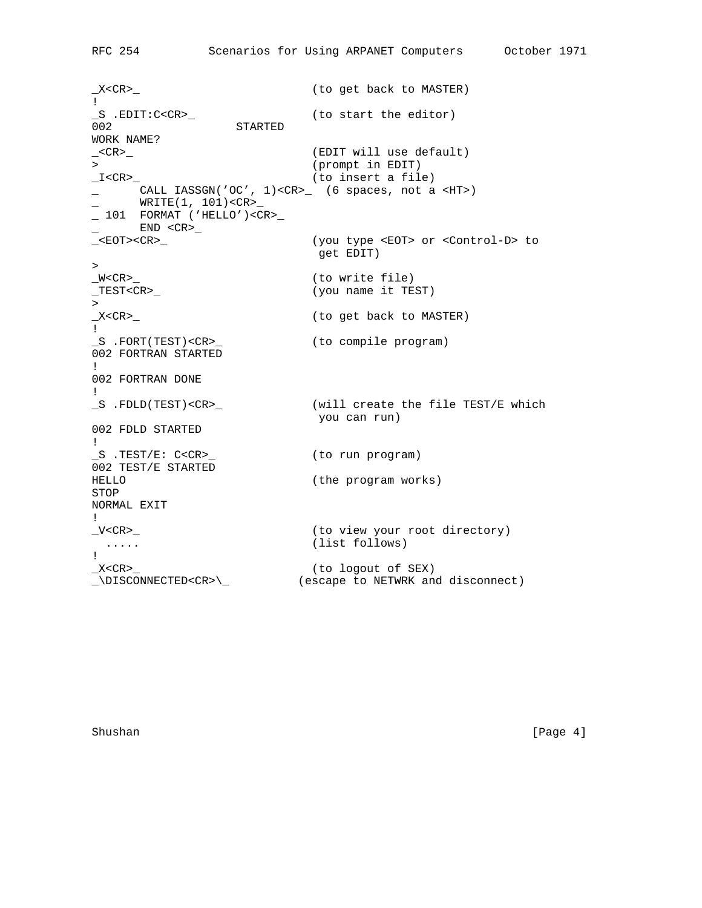\_X<CR>\_ (to get back to MASTER) !<br>\_S .EDIT:C<CR>\_ (to start the editor) 002 STARTED WORK NAME?<br>\_<CR>\_ (EDIT will use default) > (prompt in EDIT)  $I < CR$  and  $I < CR$  and  $I < CR$  and  $I < CR$  and  $I < CR$  and  $I < CR$  and  $I < CR$  and  $I < CR$  and  $I < IR$  and  $I < IR$  and  $I < IR$  and  $I < IR$  and  $I < IR$  and  $I < IR$  and  $I < IR$  and  $I < IR$  and  $I < IR$  and  $I < IR$  and  $I < IR$  and  $I < IR$  and  $I < IR$  and  $I < IR$  and \_ CALL IASSGN('OC', 1)<CR>\_ (6 spaces, not a <HT>) WRITE(1, 101)<CR>\_  $\_ 101$  FORMAT ('HELLO')<CR> $\_$  $END < CR$  $>_{-}$ \_<EOT><CR>\_ (you type <EOT> or <Control-D> to get EDIT) ><br>\_W<CR>\_ (to write file) \_TEST<CR>\_ (you name it TEST)  $\geq$ \_X<CR>\_ (to get back to MASTER) ! \_S .FORT(TEST)<CR>\_ (to compile program) 002 FORTRAN STARTED ! 002 FORTRAN DONE ! \_S .FDLD(TEST)<CR>\_ (will create the file TEST/E which you can run) 002 FDLD STARTED ! \_S .TEST/E: C<CR>\_ (to run program) 002 TEST/E STARTED HELLO (the program works) STOP NORMAL EXIT ! \_V<CR>\_ (to view your root directory) ..... (list follows) !<br>\_X<CR>\_ \_X<CR>\_ (to logout of SEX) \_\DISCONNECTED<CR>\\_ (escape to NETWRK and disconnect)

Shushan [Page 4] [Page 4] [Page 4] [Page 4] [Page 4] [Page 4] [Page 4] [Page 4] [Page 4] [Page 4] [Page 4] [Page 4] [Page 4] [Page 4] [Page 4] [Page 4] [Page 4] [Page 4] [Page 4] [Page 4] [Page 4] [Page 4] [Page 4] [Page 4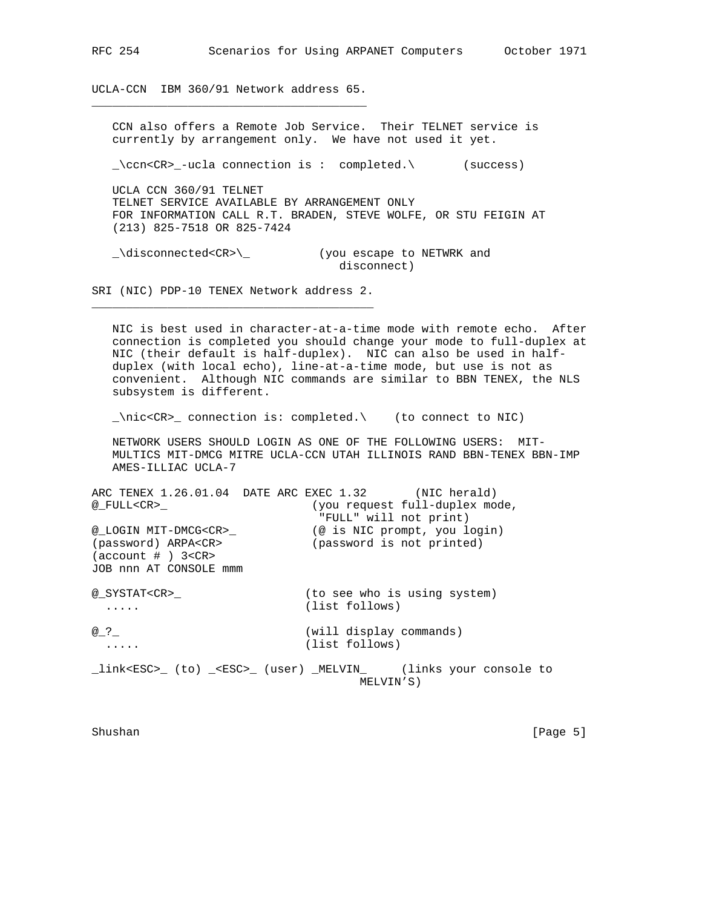UCLA-CCN IBM 360/91 Network address 65. \_\_\_\_\_\_\_\_\_\_\_\_\_\_\_\_\_\_\_\_\_\_\_\_\_\_\_\_\_\_\_\_\_\_\_\_\_\_\_\_

 CCN also offers a Remote Job Service. Their TELNET service is currently by arrangement only. We have not used it yet. \_\ccn<CR>\_-ucla connection is : completed.\ (success) UCLA CCN 360/91 TELNET TELNET SERVICE AVAILABLE BY ARRANGEMENT ONLY FOR INFORMATION CALL R.T. BRADEN, STEVE WOLFE, OR STU FEIGIN AT (213) 825-7518 OR 825-7424 \_\disconnected<CR>\\_ (you escape to NETWRK and disconnect) SRI (NIC) PDP-10 TENEX Network address 2. \_\_\_\_\_\_\_\_\_\_\_\_\_\_\_\_\_\_\_\_\_\_\_\_\_\_\_\_\_\_\_\_\_\_\_\_\_\_\_\_\_ NIC is best used in character-at-a-time mode with remote echo. After connection is completed you should change your mode to full-duplex at NIC (their default is half-duplex). NIC can also be used in half duplex (with local echo), line-at-a-time mode, but use is not as convenient. Although NIC commands are similar to BBN TENEX, the NLS subsystem is different. \_\nic<CR>\_ connection is: completed.\ (to connect to NIC) NETWORK USERS SHOULD LOGIN AS ONE OF THE FOLLOWING USERS: MIT- MULTICS MIT-DMCG MITRE UCLA-CCN UTAH ILLINOIS RAND BBN-TENEX BBN-IMP AMES-ILLIAC UCLA-7 ARC TENEX 1.26.01.04 DATE ARC EXEC 1.32 (NIC herald) @\_FULL<CR>\_ (you request full-duplex mode, "FULL" will not print) @\_LOGIN MIT-DMCG<CR>\_ (@ is NIC prompt, you login) (password) ARPA<CR> (password is not printed)  $(\text{account } # )$  3<CR> JOB nnn AT CONSOLE mmm @\_SYSTAT<CR>\_ (to see who is using system) ..... (list follows) @\_?\_ (will display commands) ..... (list follows) \_link<ESC>\_ (to) \_<ESC>\_ (user) \_MELVIN\_ (links your console to MELVIN'S) Shushan [Page 5]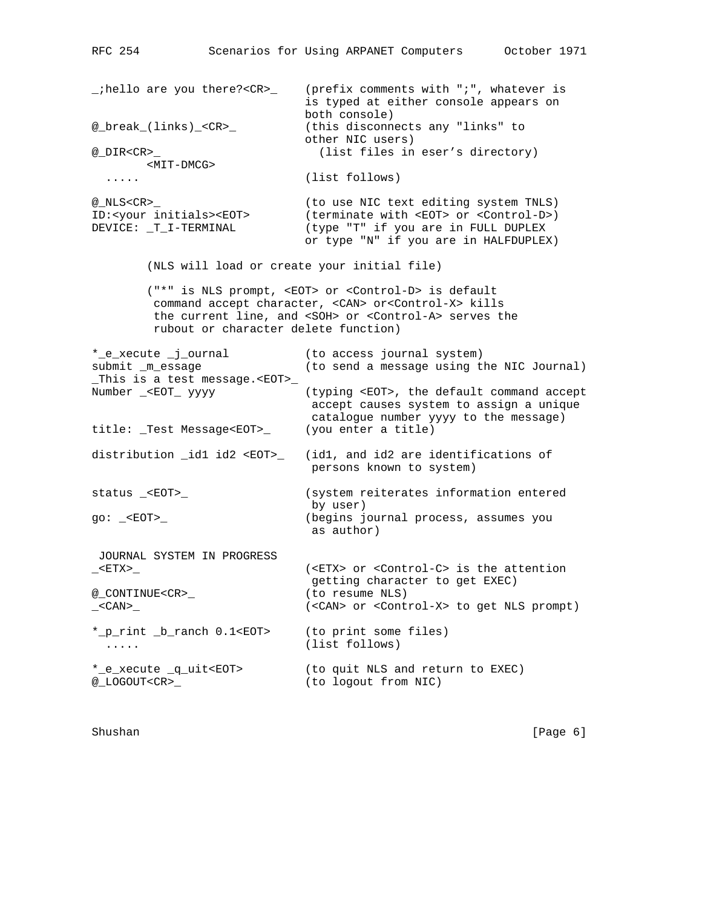\_;hello are you there?<CR>\_ (prefix comments with ";", whatever is is typed at either console appears on both console) @\_break\_(links)\_<CR>\_ (this disconnects any "links" to % other NIC users)<br>@ DIR<CR> (list files in (list files in eser's directory) <MIT-DMCG> ..... (list follows) @\_NLS<CR>\_ (to use NIC text editing system TNLS) ID:<your initials><EOT> (terminate with <EOT> or <Control-D>) DEVICE: \_T\_I-TERMINAL (type "T" if you are in FULL DUPLEX or type "N" if you are in HALFDUPLEX) (NLS will load or create your initial file) ("\*" is NLS prompt, <EOT> or <Control-D> is default command accept character, <CAN> or<Control-X> kills the current line, and <SOH> or <Control-A> serves the rubout or character delete function) \*\_e\_xecute \_j\_ournal (to access journal system) submit \_m\_essage (to send a message using the NIC Journal) \_This is a test message.<EOT>\_ (typing <EOT>, the default command accept accept causes system to assign a unique catalogue number yyyy to the message) title: \_Test Message<EOT>\_ (you enter a title) distribution \_id1 id2 <EOT>\_ (id1, and id2 are identifications of persons known to system) status \_<EOT>\_ (system reiterates information entered by user) go: \_<EOT>\_ (begins journal process, assumes you as author) JOURNAL SYSTEM IN PROGRESS \_<ETX>\_ (<ETX> or <Control-C> is the attention getting character to get EXEC)<br>(to resume NLS) @\_CONTINUE<CR>\_ \_<CAN>\_ (<CAN> or <Control-X> to get NLS prompt) \*\_p\_rint \_b\_ranch 0.1<EOT> (to print some files) ..... (list follows) \*\_e\_xecute \_q\_uit<EOT> (to quit NLS and return to EXEC) @\_LOGOUT<CR>\_ (to logout from NIC)

Shushan [Page 6] [Page 6] [Page 6] [Page 6] [Page 6] [Page 6] [Page 6] [Page 6] [Page 6] [Page 6] [Page 6] [Page 6] [Page 6] [Page 6] [Page 6] [Page 6] [Page 6] [Page 6] [Page 6] [Page 6] [Page 6] [Page 6] [Page 6] [Page 6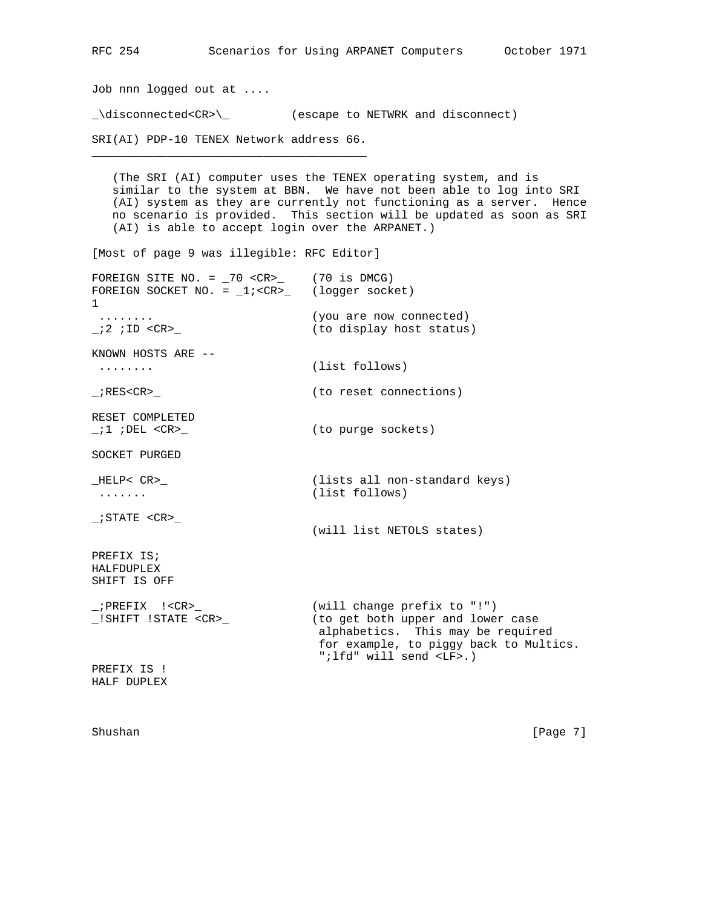Job nnn logged out at ....

\_\disconnected<CR>\\_ (escape to NETWRK and disconnect)

SRI(AI) PDP-10 TENEX Network address 66. \_\_\_\_\_\_\_\_\_\_\_\_\_\_\_\_\_\_\_\_\_\_\_\_\_\_\_\_\_\_\_\_\_\_\_\_\_\_\_\_

 (The SRI (AI) computer uses the TENEX operating system, and is similar to the system at BBN. We have not been able to log into SRI (AI) system as they are currently not functioning as a server. Hence no scenario is provided. This section will be updated as soon as SRI (AI) is able to accept login over the ARPANET.)

[Most of page 9 was illegible: RFC Editor]

| FOREIGN SITE NO. = $70 \text{  (70 is DMCG)FOREIGN SOCKET NO. = _1; (logger socket)\mathbf{1}$ |                                                                                                                                                                                  |
|------------------------------------------------------------------------------------------------|----------------------------------------------------------------------------------------------------------------------------------------------------------------------------------|
| . <b>.</b> .<br>; $2$ ; ID <cr></cr>                                                           | (you are now connected)<br>(to display host status)                                                                                                                              |
| KNOWN HOSTS ARE --<br>.                                                                        | (list follows)                                                                                                                                                                   |
| ; RES <cr></cr>                                                                                | (to reset connections)                                                                                                                                                           |
| RESET COMPLETED<br>;1 ;DEL <cr></cr>                                                           | (to purge sockets)                                                                                                                                                               |
| SOCKET PURGED                                                                                  |                                                                                                                                                                                  |
| HELP< CR><br>.                                                                                 | (lists all non-standard keys)<br>(list follows)                                                                                                                                  |
| ; STATE <cr></cr>                                                                              | (will list NETOLS states)                                                                                                                                                        |
| PREFIX IS;<br><b>HALFDUPLEX</b><br>SHIFT IS OFF                                                |                                                                                                                                                                                  |
| $_i$ PREFIX $\cdot$ < CR ><br>!SHIFT !STATE <cr></cr>                                          | (will change prefix to "!")<br>(to get both upper and lower case<br>alphabetics. This may be required<br>for example, to piggy back to Multics.<br>"; lfd" will send <lf>.)</lf> |
| PREFIX IS !<br>HALF DUPLEX                                                                     |                                                                                                                                                                                  |

Shushan [Page 7]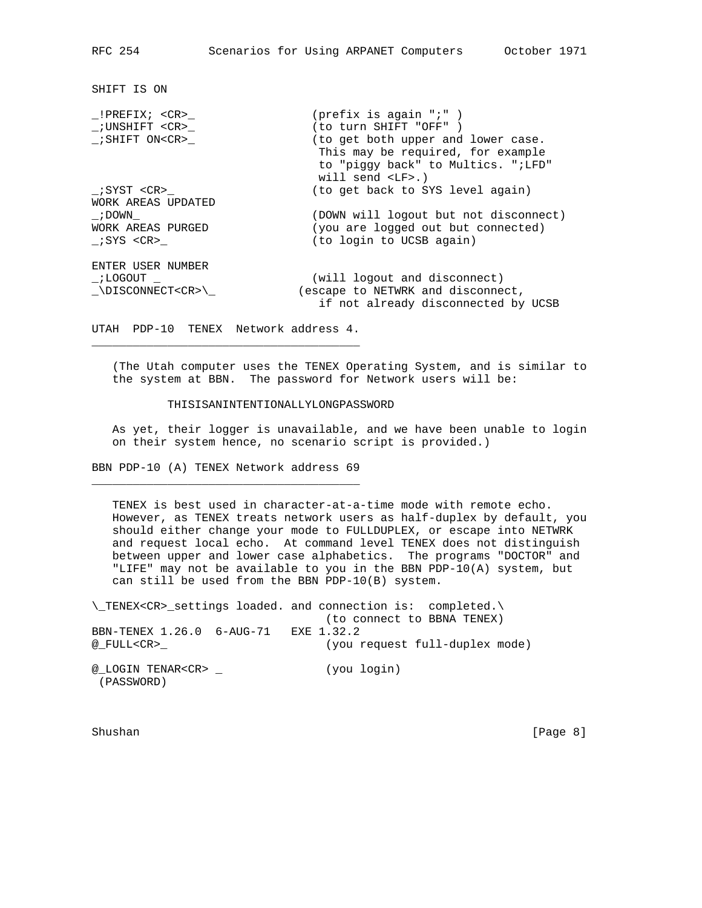SHIFT IS ON

| !PREFIX; <cr></cr>      | (prefix is again $"i"$ )                                                                                                                           |
|-------------------------|----------------------------------------------------------------------------------------------------------------------------------------------------|
| ;UNSHIFT <cr></cr>      | (to turn SHIFT "OFF")                                                                                                                              |
| $_i$ SHIFT ON <cr></cr> | (to get both upper and lower case.<br>This may be required, for example<br>to "piggy back" to Multics. ";LFD"<br>will send $\langle LF \rangle$ .) |
| ;SYST <cr></cr>         | (to get back to SYS level again)                                                                                                                   |
| WORK AREAS UPDATED      |                                                                                                                                                    |
| ; DOWN                  | (DOWN will logout but not disconnect)                                                                                                              |
| WORK AREAS PURGED       | (you are logged out but connected)                                                                                                                 |
| ;SYS <cr></cr>          | (to login to UCSB again)                                                                                                                           |
| ENTER USER NUMBER       |                                                                                                                                                    |
| ; LOGOUT                | (will logout and disconnect)                                                                                                                       |
| \DISCONNECT <cr>\</cr>  | (escape to NETWRK and disconnect,                                                                                                                  |
|                         | if not already disconnected by UCSB                                                                                                                |

UTAH PDP-10 TENEX Network address 4. \_\_\_\_\_\_\_\_\_\_\_\_\_\_\_\_\_\_\_\_\_\_\_\_\_\_\_\_\_\_\_\_\_\_\_\_\_\_\_

 (The Utah computer uses the TENEX Operating System, and is similar to the system at BBN. The password for Network users will be:

## THISISANINTENTIONALLYLONGPASSWORD

 As yet, their logger is unavailable, and we have been unable to login on their system hence, no scenario script is provided.)

BBN PDP-10 (A) TENEX Network address 69 \_\_\_\_\_\_\_\_\_\_\_\_\_\_\_\_\_\_\_\_\_\_\_\_\_\_\_\_\_\_\_\_\_\_\_\_\_\_\_

 TENEX is best used in character-at-a-time mode with remote echo. However, as TENEX treats network users as half-duplex by default, you should either change your mode to FULLDUPLEX, or escape into NETWRK and request local echo. At command level TENEX does not distinguish between upper and lower case alphabetics. The programs "DOCTOR" and "LIFE" may not be available to you in the BBN PDP-10(A) system, but can still be used from the BBN PDP-10(B) system.

\\_TENEX<CR>\_settings loaded. and connection is: completed.\ (to connect to BBNA TENEX) BBN-TENEX 1.26.0 6-AUG-71 EXE 1.32.2 @\_FULL<CR>\_ (you request full-duplex mode) @\_LOGIN TENAR<CR> \_ (you login) (PASSWORD)

Shushan [Page 8]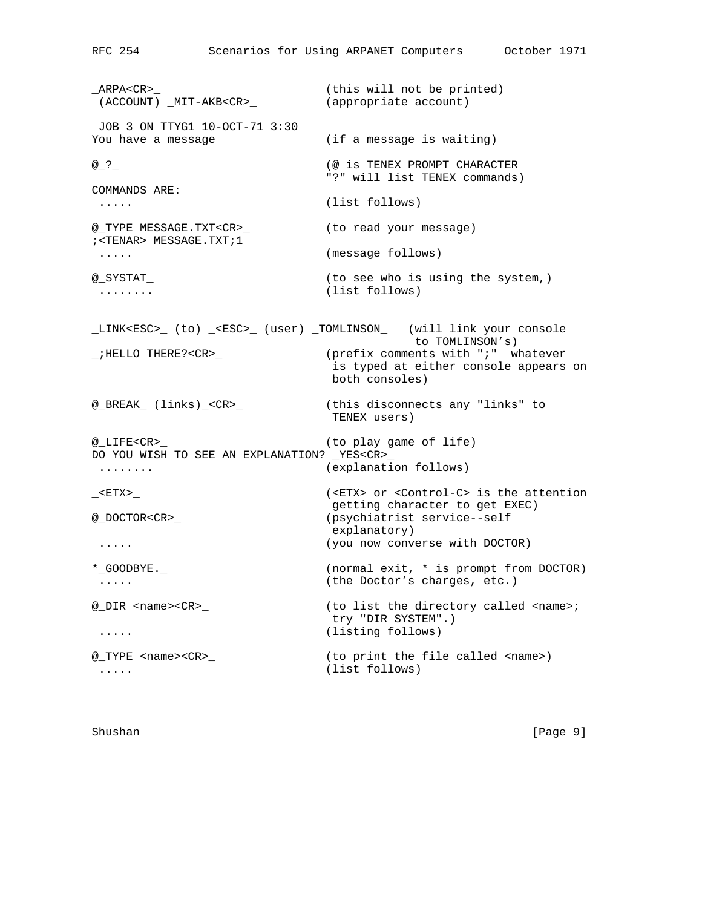\_ARPA<CR>\_ (this will not be printed) (ACCOUNT) \_MIT-AKB<CR>\_ (appropriate account) JOB 3 ON TTYG1 10-OCT-71 3:30 You have a message  $(if a message is waiting)$ @\_?\_ (@ is TENEX PROMPT CHARACTER "?" will list TENEX commands) COMMANDS ARE: ..... (list follows) @\_TYPE MESSAGE.TXT<CR>\_ (to read your message) ;<TENAR> MESSAGE.TXT;1 ..... (message follows) @\_SYSTAT\_ (to see who is using the system,) ........ (list follows) \_LINK<ESC>\_ (to) \_<ESC>\_ (user) \_TOMLINSON\_ (will link your console to TOMLINSON's) \_;HELLO THERE?<CR>\_ (prefix comments with ";" whatever is typed at either console appears on both consoles) @\_BREAK\_ (links)\_<CR>\_ (this disconnects any "links" to TENEX users) @\_LIFE<CR>\_ (to play game of life) DO YOU WISH TO SEE AN EXPLANATION? \_YES<CR>\_ ........ (explanation follows) \_<ETX>\_ (<ETX> or <Control-C> is the attention getting character to get EXEC) (psychiatrist service--self explanatory) ..... (you now converse with DOCTOR) \*\_GOODBYE.\_ (normal exit, \* is prompt from DOCTOR) ..... (the Doctor's charges, etc.) @\_DIR <name><CR>\_ (to list the directory called <name>; try "DIR SYSTEM".) ..... (listing follows) @\_TYPE <name><CR>\_ (to print the file called <name>) ..... (list follows)

Shushan [Page 9]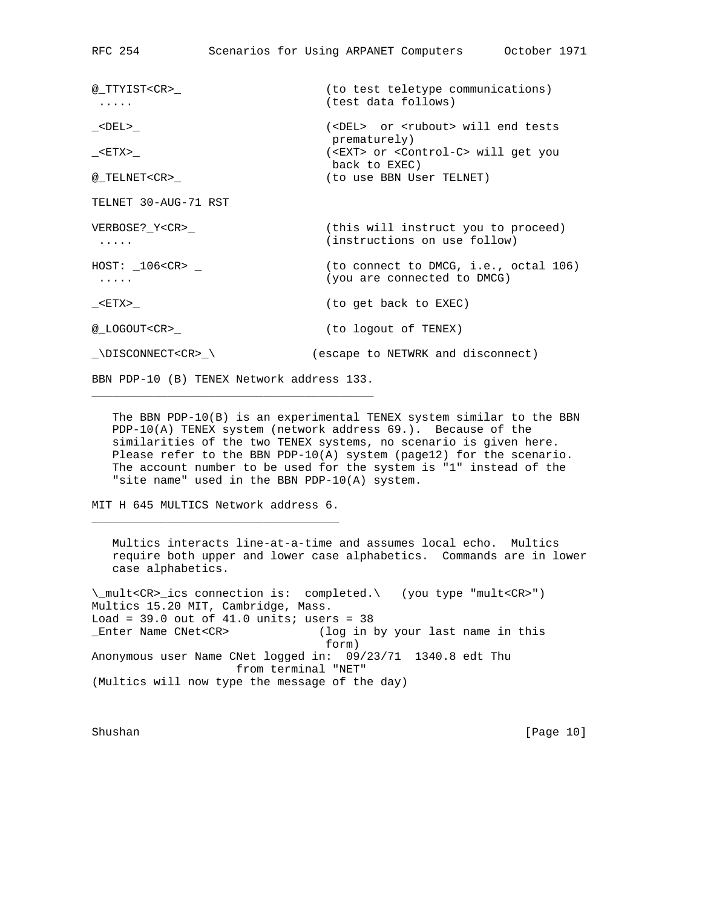@\_TTYIST<CR>\_ (to test teletype communications) ..... (test data follows) \_<DEL>\_ (<DEL> or <rubout> will end tests prematurely) \_<ETX>\_ (<EXT> or <Control-C> will get you back to EXEC) @\_TELNET<CR>\_ (to use BBN User TELNET) TELNET 30-AUG-71 RST VERBOSE?\_Y<CR>\_ (this will instruct you to proceed) ..... (instructions on use follow)  $HOST: \_106 < CR>$ <sub>-</sub>  $\qquad \qquad$  (to connect to DMCG, i.e., octal 106) ..... (you are connected to DMCG) \_<ETX>\_ (to get back to EXEC) @\_LOGOUT<CR>\_ (to logout of TENEX) \_\DISCONNECT<CR>\_\ (escape to NETWRK and disconnect)

BBN PDP-10 (B) TENEX Network address 133. \_\_\_\_\_\_\_\_\_\_\_\_\_\_\_\_\_\_\_\_\_\_\_\_\_\_\_\_\_\_\_\_\_\_\_\_\_\_\_\_\_

 The BBN PDP-10(B) is an experimental TENEX system similar to the BBN PDP-10(A) TENEX system (network address 69.). Because of the similarities of the two TENEX systems, no scenario is given here. Please refer to the BBN PDP-10(A) system (page12) for the scenario. The account number to be used for the system is "1" instead of the "site name" used in the BBN PDP-10(A) system.

MIT H 645 MULTICS Network address 6. \_\_\_\_\_\_\_\_\_\_\_\_\_\_\_\_\_\_\_\_\_\_\_\_\_\_\_\_\_\_\_\_\_\_\_\_

 Multics interacts line-at-a-time and assumes local echo. Multics require both upper and lower case alphabetics. Commands are in lower case alphabetics.

\\_mult<CR>\_ics connection is: completed.\ (you type "mult<CR>") Multics 15.20 MIT, Cambridge, Mass. Load =  $39.0$  out of  $41.0$  units; users =  $38$ \_Enter Name CNet<CR> (log in by your last name in this form) Anonymous user Name CNet logged in: 09/23/71 1340.8 edt Thu from terminal "NET" (Multics will now type the message of the day)

Shushan [Page 10]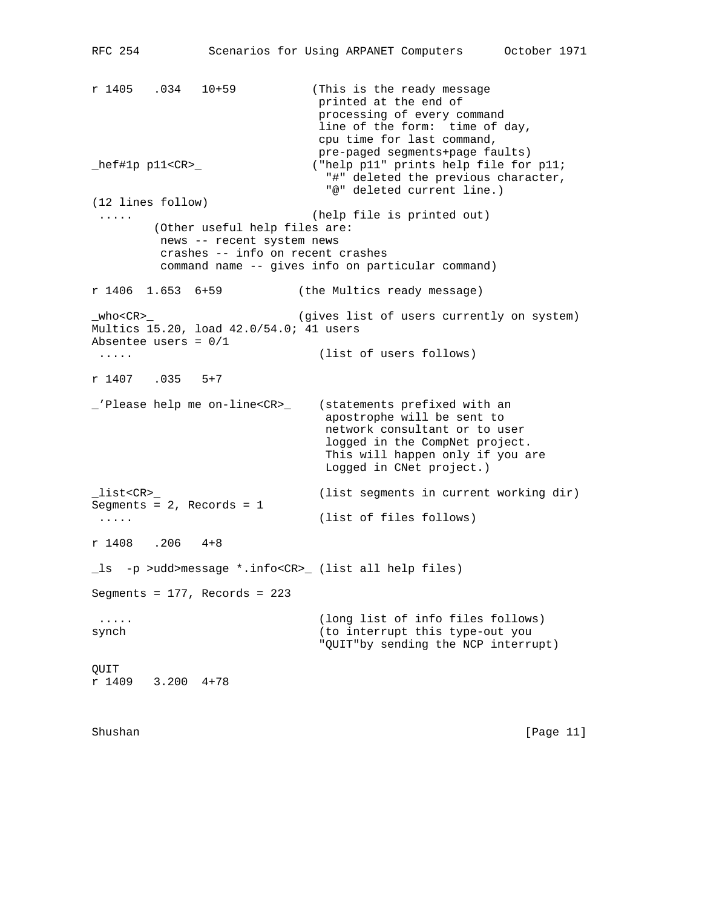RFC 254 Scenarios for Using ARPANET Computers October 1971 r 1405 .034 10+59 (This is the ready message printed at the end of processing of every command line of the form: time of day, cpu time for last command, pre-paged segments+page faults) \_hef#1p p11<CR>\_ ("help p11" prints help file for p11; "#" deleted the previous character, "@" deleted current line.) (12 lines follow) ..... (help file is printed out) (Other useful help files are: news -- recent system news crashes -- info on recent crashes command name -- gives info on particular command) r 1406 1.653 6+59 (the Multics ready message) \_who<CR>\_ (gives list of users currently on system) Multics 15.20, load 42.0/54.0; 41 users Absentee users = 0/1 ..... (list of users follows) r 1407 .035 5+7 \_'Please help me on-line<CR>\_ (statements prefixed with an apostrophe will be sent to network consultant or to user logged in the CompNet project. This will happen only if you are Logged in CNet project.) \_list<CR>\_ (list segments in current working dir) Segments = 2, Records = 1 ..... (list of files follows) r 1408 .206 4+8 \_ls -p >udd>message \*.info<CR>\_ (list all help files) Segments = 177, Records = 223 ..... (long list of info files follows) synch (to interrupt this type-out you "QUIT"by sending the NCP interrupt) QUIT r 1409 3.200 4+78

Shushan [Page 11]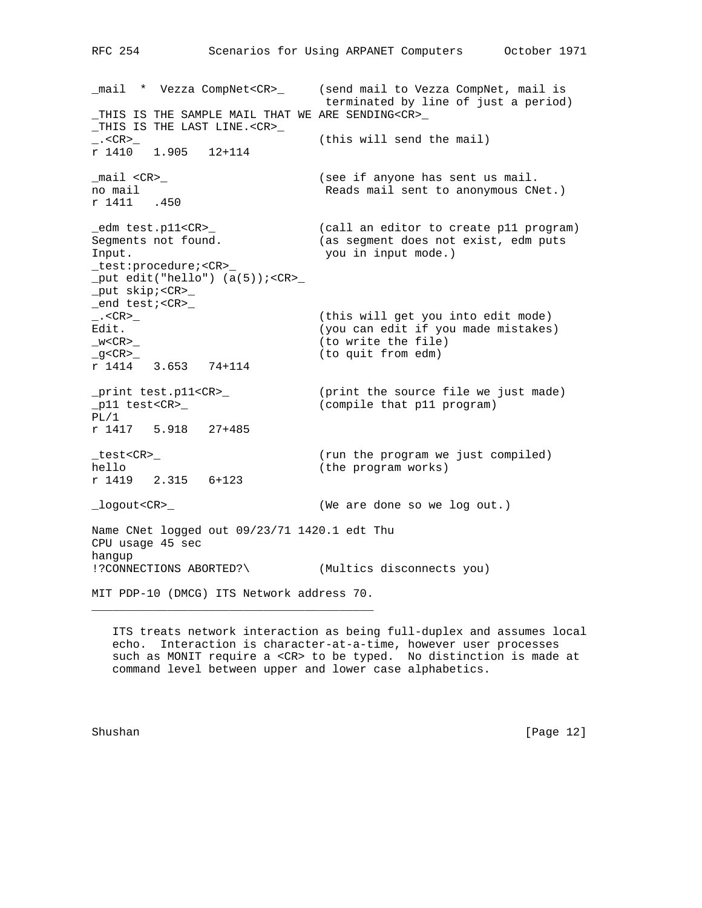\_mail \* Vezza CompNet<CR>\_ (send mail to Vezza CompNet, mail is terminated by line of just a period) \_THIS IS THE SAMPLE MAIL THAT WE ARE SENDING<CR>\_ \_THIS IS THE LAST LINE.<CR>\_ \_.<CR>\_ (this will send the mail) r 1410 1.905 12+114 \_mail <CR>\_ (see if anyone has sent us mail. no mail  $\qquad \qquad$  Reads mail sent to anonymous CNet.) r 1411 .450 edm test.pl1<CR><br>Segments not found. (call an editor to create p11 program)<br>Segments not found. (as segment does not exist, edm puts<br>Input Segment does not exist, edm puts Input. you in input mode.) \_test:procedure;<CR>\_  $_$  \_put edit("hello")  $(a(5))$ ; <CR>\_ \_put skip;<CR>\_ \_end test;<CR>\_ \_.<CR>\_ (this will get you into edit mode) Edit. The same of the contract of the contract of the contract of the contract of the contract of the contract of the contract of the contract of the contract of the contract of the contract of the contract of the contract \_w<CR>\_ (to write the file) \_g<CR>\_ (to quit from edm) r 1414 3.653 74+114 \_print test.p11<CR>\_ (print the source file we just made) \_p11 test<CR>\_ (compile that p11 program) PL/1 r 1417 5.918 27+485 \_test<CR>\_ (run the program we just compiled) hello (the program works) r 1419 2.315 6+123 \_logout<CR>\_ (We are done so we log out.) Name CNet logged out 09/23/71 1420.1 edt Thu CPU usage 45 sec hangup !?CONNECTIONS ABORTED?\ (Multics disconnects you) MIT PDP-10 (DMCG) ITS Network address 70.

 ITS treats network interaction as being full-duplex and assumes local echo. Interaction is character-at-a-time, however user processes such as MONIT require a <CR> to be typed. No distinction is made at command level between upper and lower case alphabetics.

\_\_\_\_\_\_\_\_\_\_\_\_\_\_\_\_\_\_\_\_\_\_\_\_\_\_\_\_\_\_\_\_\_\_\_\_\_\_\_\_\_

Shushan [Page 12]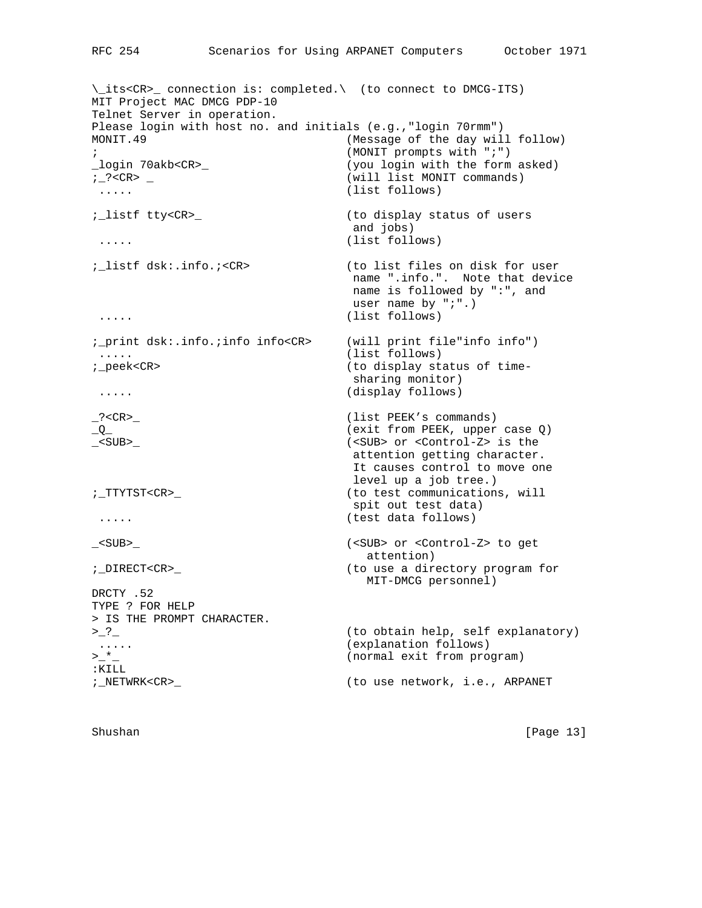\\_its<CR>\_ connection is: completed.\ (to connect to DMCG-ITS) MIT Project MAC DMCG PDP-10 Telnet Server in operation. Please login with host no. and initials (e.g.,"login 70rmm") MONIT.49 (Message of the day will follow) ; (MONIT prompts with ";") (you login with the form asked) ;\_?<CR> \_ (will list MONIT commands) ..... (list follows) ;\_listf tty<CR>\_ (to display status of users and jobs) ..... (list follows) ;\_listf dsk:.info.;<CR> (to list files on disk for user name ".info.". Note that device name is followed by ":", and user name by ";".) ..... (list follows) ;\_print dsk:.info.;info info<CR> (will print file"info info") ..... (list follows) ;\_peek<CR> (to display status of time sharing monitor) ..... (display follows) \_?<CR>\_ (list PEEK's commands)<br>
\_Q\_ (exit from PEEK, upper (exit from PEEK, upper case Q) \_<SUB>\_ (<SUB> or <Control-Z> is the attention getting character. It causes control to move one level up a job tree.) ;\_TTYTST<CR>\_ (to test communications, will spit out test data) ..... (test data follows) \_<SUB>\_ (<SUB> or <Control-Z> to get attention) ;\_DIRECT<CR>\_ (to use a directory program for MIT-DMCG personnel) DRCTY .52 TYPE ? FOR HELP > IS THE PROMPT CHARACTER. >\_?\_ (to obtain help, self explanatory) ..... (explanation follows) >\_\*\_ (normal exit from program) :KILL ;\_NETWRK<CR>\_ (to use network, i.e., ARPANET

Shushan [Page 13]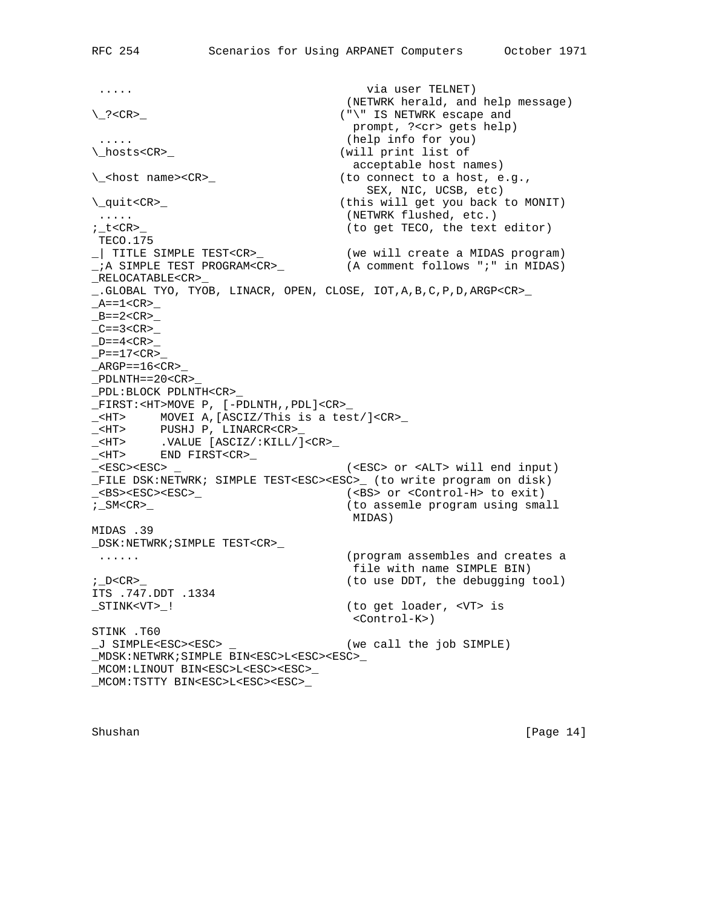..... via user TELNET) (NETWRK herald, and help message) \\_?<CR>\_ ("\" IS NETWRK escape and prompt, ?<cr> gets help) ..... (help info for you) \\_hosts<CR>\_ (will print list of acceptable host names) \\_<host name><CR>\_ (to connect to a host, e.g., SEX, NIC, UCSB, etc) \\_quit<CR>\_ (this will get you back to MONIT) ..... (NETWRK flushed, etc.) (to get TECO, the text editor) TECO.175 \_| TITLE SIMPLE TEST<CR>\_ (we will create a MIDAS program) \_;A SIMPLE TEST PROGRAM<CR>\_ (A comment follows ";" in MIDAS) \_RELOCATABLE<CR>\_ \_.GLOBAL TYO, TYOB, LINACR, OPEN, CLOSE, IOT,A,B,C,P,D,ARGP<CR>\_  $_A = 1 < CR$  $B=-2 < CR$  $C==3 < CR>$  $D=-4 < CR>$  $P=\texttt{17}\texttt{<}\texttt{CR}$  $\_$ ARGP==16<CR>  $\rule{0pt}{0pt}$   $\rule{0pt}{0pt}$   $\rule{0pt}{0pt}$   $\rule{0pt}{0pt}$   $\rule{0pt}{0pt}$   $\rule{0pt}{0pt}$   $\rule{0pt}{0pt}$   $\rule{0pt}{0pt}$   $\rule{0pt}{0pt}$   $\rule{0pt}{0pt}$   $\rule{0pt}{0pt}$   $\rule{0pt}{0pt}$   $\rule{0pt}{0pt}$   $\rule{0pt}{0pt}$   $\rule{0pt}{0pt}$   $\rule{0pt}{0pt}$   $\rule{0pt}{0pt}$   $\rule{0pt}{0pt}$   $\rule{0$ \_PDL:BLOCK PDLNTH<CR>\_ \_FIRST:<HT>MOVE P, [-PDLNTH,,PDL]<CR>\_ \_<HT> MOVEI A,[ASCIZ/This is a test/]<CR>\_ \_<HT> PUSHJ P, LINARCR<CR>\_ \_<HT> .VALUE [ASCIZ/:KILL/]<CR>\_ \_<HT> END FIRST<CR>\_ \_<ESC><ESC> \_ (<ESC> or <ALT> will end input) \_FILE DSK:NETWRK; SIMPLE TEST<ESC><ESC>\_ (to write program on disk) \_<BS><ESC><ESC>\_ (<BS> or <Control-H> to exit) ;\_SM<CR>\_ (to assemle program using small MIDAS) MIDAS .39 \_DSK:NETWRK;SIMPLE TEST<CR>\_ ...... (program assembles and creates a file with name SIMPLE BIN) ; D<CR>\_ (to use DDT, the debugging tool) ITS .747.DDT .1334 \_STINK<VT>\_! (to get loader, <VT> is <Control-K>) STINK .T60 \_J SIMPLE<ESC><ESC> \_ (we call the job SIMPLE) \_MDSK:NETWRK;SIMPLE BIN<ESC>L<ESC><ESC>\_ \_MCOM:LINOUT BIN<ESC>L<ESC><ESC>\_ \_MCOM:TSTTY BIN<ESC>L<ESC><ESC>\_

Shushan [Page 14]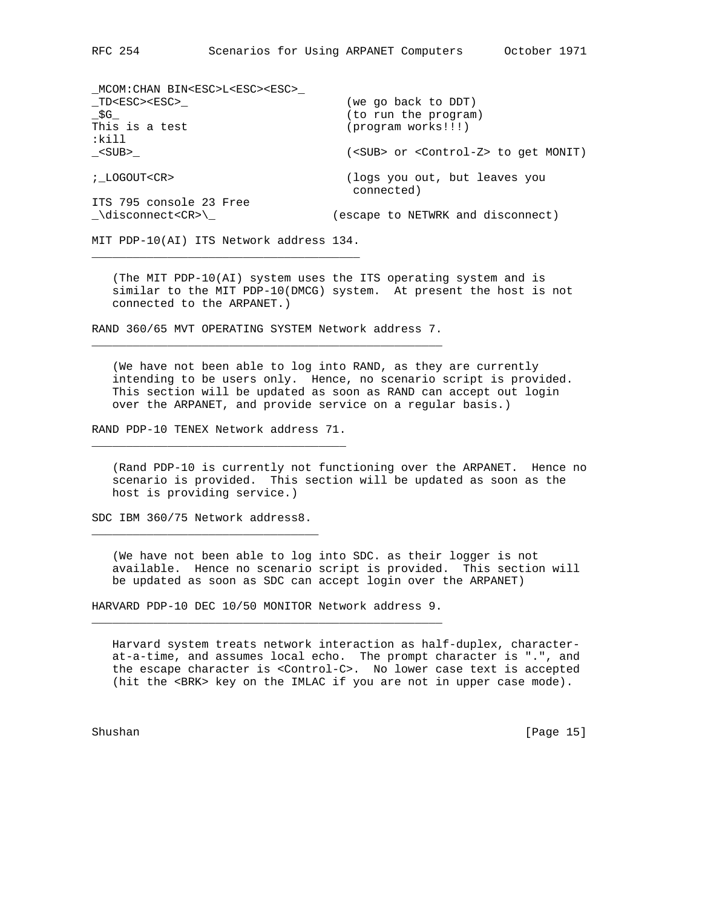| MCOM:CHAN BIN <esc>L<esc><esc></esc></esc></esc> |                                                        |
|--------------------------------------------------|--------------------------------------------------------|
| TD <esc><esc></esc></esc>                        | (we go back to DDT)                                    |
| \$G                                              | (to run the program)                                   |
| This is a test                                   | (program works!!!)                                     |
| :kil1                                            |                                                        |
| <sub></sub>                                      | ( <sub> or <control-z> to get MONIT)</control-z></sub> |
|                                                  |                                                        |
| ; LOGOUT <cr></cr>                               | (logs you out, but leaves you                          |
|                                                  | connected)                                             |
| ITS 795 console 23 Free                          |                                                        |
| \disconnect <cr>\</cr>                           | (escape to NETWRK and disconnect)                      |
|                                                  |                                                        |

MIT PDP-10(AI) ITS Network address 134. \_\_\_\_\_\_\_\_\_\_\_\_\_\_\_\_\_\_\_\_\_\_\_\_\_\_\_\_\_\_\_\_\_\_\_\_\_\_\_

 $MQOM:CHINL$  BIN BOOT BOOT BOOT

 (The MIT PDP-10(AI) system uses the ITS operating system and is similar to the MIT PDP-10(DMCG) system. At present the host is not connected to the ARPANET.)

RAND 360/65 MVT OPERATING SYSTEM Network address 7. \_\_\_\_\_\_\_\_\_\_\_\_\_\_\_\_\_\_\_\_\_\_\_\_\_\_\_\_\_\_\_\_\_\_\_\_\_\_\_\_\_\_\_\_\_\_\_\_\_\_\_

 (We have not been able to log into RAND, as they are currently intending to be users only. Hence, no scenario script is provided. This section will be updated as soon as RAND can accept out login over the ARPANET, and provide service on a regular basis.)

RAND PDP-10 TENEX Network address 71. \_\_\_\_\_\_\_\_\_\_\_\_\_\_\_\_\_\_\_\_\_\_\_\_\_\_\_\_\_\_\_\_\_\_\_\_\_

 (Rand PDP-10 is currently not functioning over the ARPANET. Hence no scenario is provided. This section will be updated as soon as the host is providing service.)

SDC IBM 360/75 Network address8. \_\_\_\_\_\_\_\_\_\_\_\_\_\_\_\_\_\_\_\_\_\_\_\_\_\_\_\_\_\_\_\_\_

 (We have not been able to log into SDC. as their logger is not available. Hence no scenario script is provided. This section will be updated as soon as SDC can accept login over the ARPANET)

HARVARD PDP-10 DEC 10/50 MONITOR Network address 9. \_\_\_\_\_\_\_\_\_\_\_\_\_\_\_\_\_\_\_\_\_\_\_\_\_\_\_\_\_\_\_\_\_\_\_\_\_\_\_\_\_\_\_\_\_\_\_\_\_\_\_

 Harvard system treats network interaction as half-duplex, character at-a-time, and assumes local echo. The prompt character is ".", and the escape character is <Control-C>. No lower case text is accepted (hit the <BRK> key on the IMLAC if you are not in upper case mode).

Shushan [Page 15]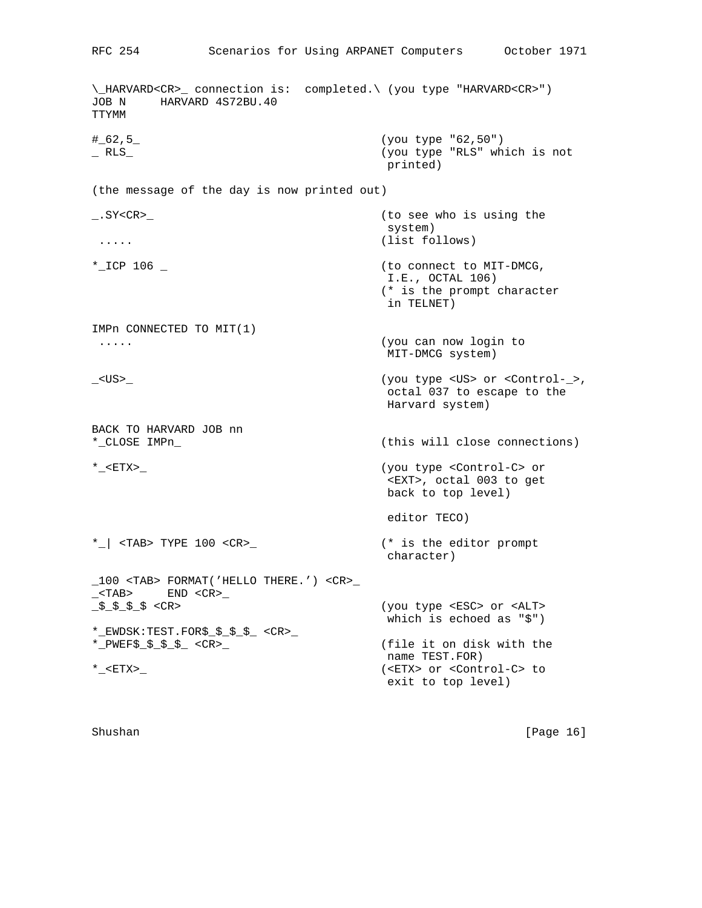\\_HARVARD<CR>\_ connection is: completed.\ (you type "HARVARD<CR>") JOB N HARVARD 4S72BU.40 TTYMM #\_62,5\_ (you type "62,50") \_ RLS\_ (you type "RLS" which is not printed) (the message of the day is now printed out) \_.SY<CR>\_ (to see who is using the system) ..... (list follows) \*\_ICP 106 \_ (to connect to MIT-DMCG, I.E., OCTAL 106) (\* is the prompt character in TELNET) IMPn CONNECTED TO MIT(1) ..... (you can now login to MIT-DMCG system) \_<US>\_ (you type <US> or <Control-\_>, octal 037 to escape to the Harvard system) BACK TO HARVARD JOB nn \*\_CLOSE IMPn\_ (this will close connections) \*\_<ETX>\_ (you type <Control-C> or <EXT>, octal 003 to get back to top level) editor TECO) \*\_| <TAB> TYPE 100 <CR>\_ (\* is the editor prompt character) \_100 <TAB> FORMAT('HELLO THERE.') <CR>\_  $\_<$ TAB>  $<sub>EMD</sub> <$ CR> $\_$ </sub> \_\$\_\$\_\$\_\$ <CR> (you type <ESC> or <ALT> which is echoed as "\$") \*\_EWDSK:TEST.FOR\$\_\$\_\$\_\$\_ <CR>\_ \*\_PWEF\$\_\$\_\$\_\$\_ <CR>\_ (file it on disk with the name TEST.FOR) \*\_<ETX>\_ (<ETX> or <Control-C> to exit to top level)

RFC 254 Scenarios for Using ARPANET Computers October 1971

Shushan [Page 16]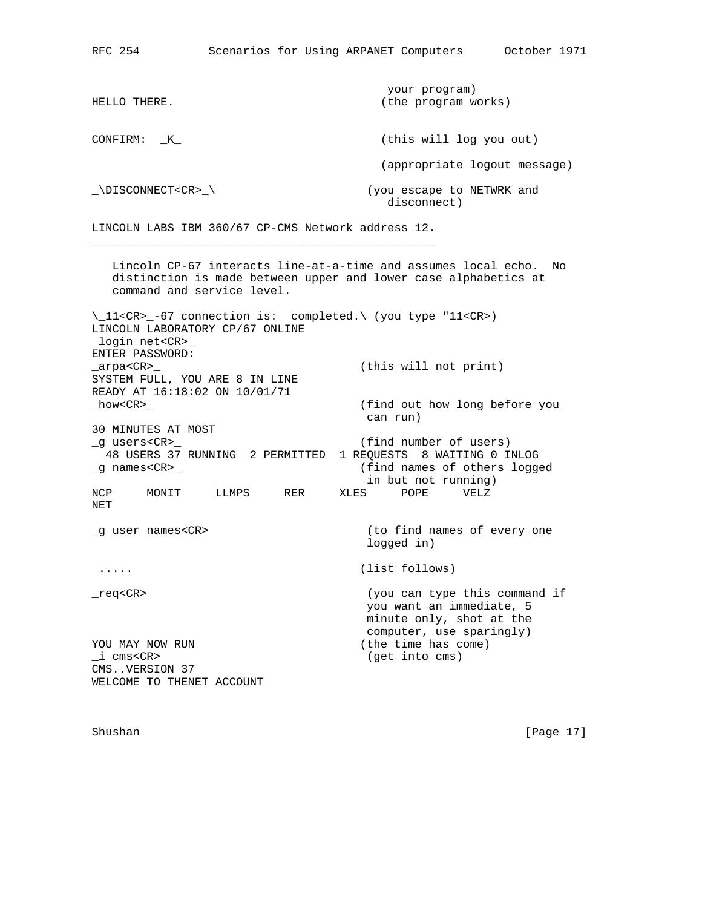| HELLO THERE.           | your program)<br>(the program works)     |
|------------------------|------------------------------------------|
| CONFIRM:<br>K          | (this will log you out)                  |
|                        | (appropriate logout message)             |
| \DISCONNECT <cr>\</cr> | (you escape to NETWRK and<br>disconnect) |

LINCOLN LABS IBM 360/67 CP-CMS Network address 12. \_\_\_\_\_\_\_\_\_\_\_\_\_\_\_\_\_\_\_\_\_\_\_\_\_\_\_\_\_\_\_\_\_\_\_\_\_\_\_\_\_\_\_\_\_\_\_\_\_\_

 Lincoln CP-67 interacts line-at-a-time and assumes local echo. No distinction is made between upper and lower case alphabetics at command and service level. \\_11<CR>\_-67 connection is: completed.\ (you type "11<CR>) LINCOLN LABORATORY CP/67 ONLINE \_login net<CR>\_ ENTER PASSWORD:<br>\_arpa<CR>\_ (this will not print) SYSTEM FULL, YOU ARE 8 IN LINE READY AT 16:18:02 ON 10/01/71 \_how<CR>\_ (find out how long before you can run) 30 MINUTES AT MOST \_g users<CR>\_ (find number of users) 48 USERS 37 RUNNING 2 PERMITTED 1 REQUESTS 8 WAITING 0 INLOG \_g names<CR>\_ (find names of others logged in but not running) NCP MONIT LLMPS RER XLES POPE VELZ NET \_g user names<CR> (to find names of every one logged in) ..... (list follows) \_req<CR> (you can type this command if you want an immediate, 5 minute only, shot at the computer, use sparingly) YOU MAY NOW RUN (the time has come) \_i cms<CR> (get into cms) CMS..VERSION 37 WELCOME TO THENET ACCOUNT

Shushan [Page 17]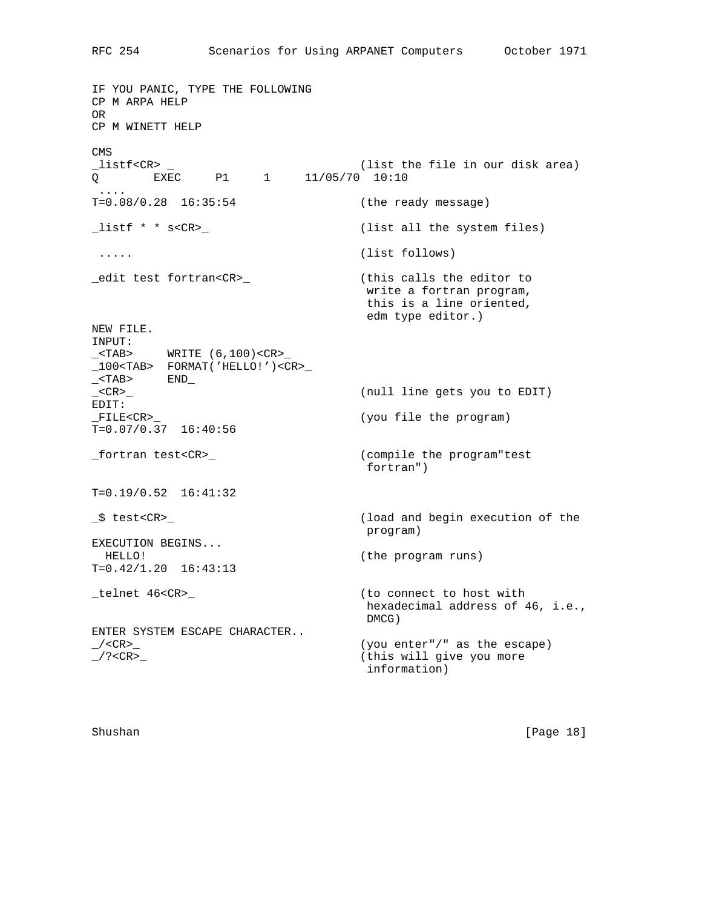IF YOU PANIC, TYPE THE FOLLOWING CP M ARPA HELP OR CP M WINETT HELP CMS<br>\_listf<CR> \_ (list the file in our disk area)  $Q$  EXEC P1 1 11/05/70 10:10 .... T=0.08/0.28 16:35:54 (the ready message) \_listf \* \* s<CR>\_ (list all the system files) ..... (list follows) \_edit test fortran<CR>\_ (this calls the editor to write a fortran program, this is a line oriented, edm type editor.) NEW FILE. INPUT:  $\_$ <TAB> WRITE  $(6, 100)$ <CR> \_100<TAB> FORMAT('HELLO!')<CR>\_  $\_$ <TAB>  $END$ \_<CR>\_ (null line gets you to EDIT) EDIT: \_FILE<CR>\_ (you file the program)  $T=0.07/0.37$  16:40:56 \_fortran test<CR>\_ (compile the program"test fortran") T=0.19/0.52 16:41:32 \_\$ test<CR>\_ (load and begin execution of the program) EXECUTION BEGINS... HELLO! (the program runs) T=0.42/1.20 16:43:13 \_telnet 46<CR>\_ (to connect to host with hexadecimal address of 46, i.e., DMCG) ENTER SYSTEM ESCAPE CHARACTER.. \_/<CR>\_ (you enter"/" as the escape) \_/?<CR>\_ (this will give you more information)

Shushan [Page 18]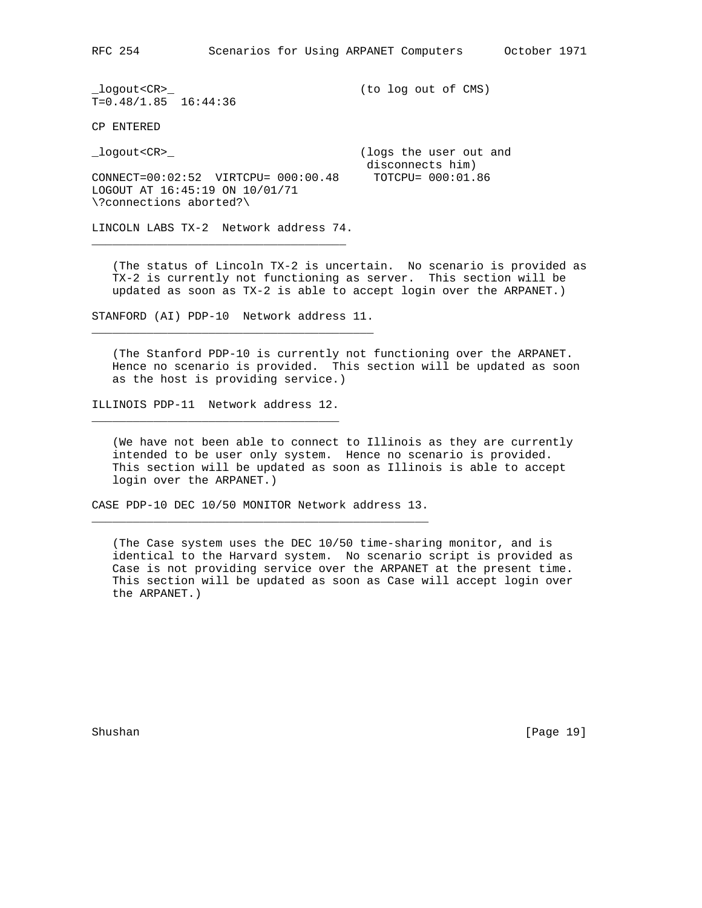RFC 254 Scenarios for Using ARPANET Computers October 1971

\_logout<CR>\_ (to log out of CMS)  $T=0.48/1.85$  16:44:36

CP ENTERED

\_logout<CR>\_ (logs the user out and

 disconnects him) CONNECT=00:02:52 VIRTCPU= 000:00.48 TOTCPU= 000:01.86 LOGOUT AT 16:45:19 ON 10/01/71 \?connections aborted?\

LINCOLN LABS TX-2 Network address 74. \_\_\_\_\_\_\_\_\_\_\_\_\_\_\_\_\_\_\_\_\_\_\_\_\_\_\_\_\_\_\_\_\_\_\_\_\_

 (The status of Lincoln TX-2 is uncertain. No scenario is provided as TX-2 is currently not functioning as server. This section will be updated as soon as TX-2 is able to accept login over the ARPANET.)

STANFORD (AI) PDP-10 Network address 11. \_\_\_\_\_\_\_\_\_\_\_\_\_\_\_\_\_\_\_\_\_\_\_\_\_\_\_\_\_\_\_\_\_\_\_\_\_\_\_\_\_

 (The Stanford PDP-10 is currently not functioning over the ARPANET. Hence no scenario is provided. This section will be updated as soon as the host is providing service.)

ILLINOIS PDP-11 Network address 12. \_\_\_\_\_\_\_\_\_\_\_\_\_\_\_\_\_\_\_\_\_\_\_\_\_\_\_\_\_\_\_\_\_\_\_\_

 (We have not been able to connect to Illinois as they are currently intended to be user only system. Hence no scenario is provided. This section will be updated as soon as Illinois is able to accept login over the ARPANET.)

CASE PDP-10 DEC 10/50 MONITOR Network address 13. \_\_\_\_\_\_\_\_\_\_\_\_\_\_\_\_\_\_\_\_\_\_\_\_\_\_\_\_\_\_\_\_\_\_\_\_\_\_\_\_\_\_\_\_\_\_\_\_\_

 (The Case system uses the DEC 10/50 time-sharing monitor, and is identical to the Harvard system. No scenario script is provided as Case is not providing service over the ARPANET at the present time. This section will be updated as soon as Case will accept login over the ARPANET.)

Shushan [Page 19]